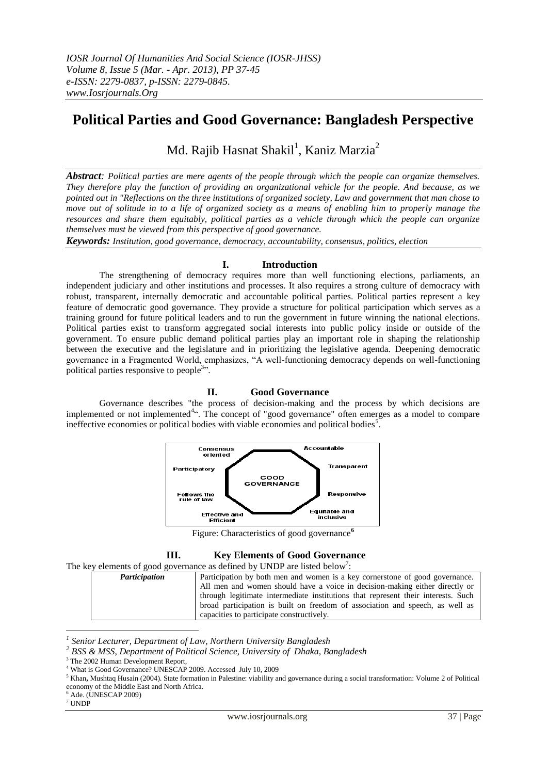# **Political Parties and Good Governance: Bangladesh Perspective**

Md. Rajib Hasnat Shakil<sup>1</sup>, Kaniz Marzia<sup>2</sup>

*Abstract: Political parties are mere agents of the people through which the people can organize themselves. They therefore play the function of providing an organizational vehicle for the people. And because, as we pointed out in "Reflections on the three institutions of organized society, Law and government that man chose to move out of solitude in to a life of organized society as a means of enabling him to properly manage the resources and share them equitably, political parties as a vehicle through which the people can organize themselves must be viewed from this perspective of good governance.*

*Keywords: Institution, good governance, democracy, accountability, consensus, politics, election*

### **I. Introduction**

The strengthening of democracy requires more than well functioning elections, parliaments, an independent judiciary and other institutions and processes. It also requires a strong culture of democracy with robust, transparent, internally democratic and accountable political parties. Political parties represent a key feature of democratic good governance. They provide a structure for political participation which serves as a training ground for future political leaders and to run the government in future winning the national elections. Political parties exist to transform aggregated social interests into public policy inside or outside of the government. To ensure public demand political parties play an important role in shaping the relationship between the executive and the legislature and in prioritizing the legislative agenda. Deepening democratic governance in a Fragmented World, emphasizes, "A well-functioning democracy depends on well-functioning political parties responsive to people<sup>3</sup>".

#### **II. Good Governance**

Governance describes "the process of decision-making and the process by which decisions are implemented or not implemented<sup>4</sup>". The concept of "good governance" often emerges as a model to compare ineffective economies or political bodies with viable economies and political bodies<sup>5</sup>.



Figure: Characteristics of good governance**<sup>6</sup>**

| Ш. |  |  | <b>Key Elements of Good Governance</b> |
|----|--|--|----------------------------------------|
|    |  |  |                                        |

The key elements of good governance as defined by UNDP are listed below<sup>7</sup>:

*Participation* Participation by both men and women is a key cornerstone of good governance. All men and women should have a voice in decision-making either directly or through legitimate intermediate institutions that represent their interests. Such broad participation is built on freedom of association and speech, as well as capacities to participate constructively.

 $6$  Ade. (UNESCAP 2009)

<u>.</u>

*<sup>1</sup> Senior Lecturer, Department of Law, Northern University Bangladesh*

*<sup>2</sup> BSS & MSS, Department of Political Science, University of Dhaka, Bangladesh*

The 2002 Human Development Report,

What is Good Governance? UNESCAP 2009. Accessed July 10, 2009

<sup>5</sup> Khan**,** Mushtaq Husain (2004). State formation in Palestine: viability and governance during a social transformation: Volume 2 of Political economy of the Middle East and North Africa.

<sup>7</sup> UNDP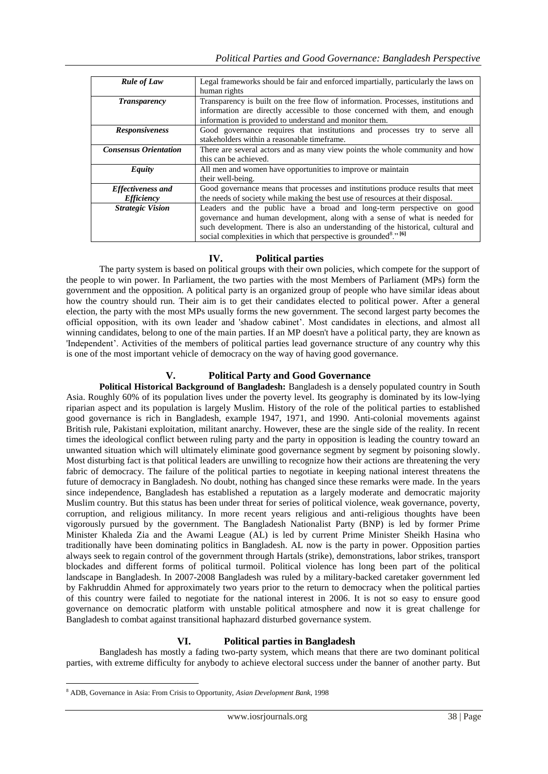| <b>Rule of Law</b>           | Legal frameworks should be fair and enforced impartially, particularly the laws on       |  |
|------------------------------|------------------------------------------------------------------------------------------|--|
|                              | human rights                                                                             |  |
| <b>Transparency</b>          | Transparency is built on the free flow of information. Processes, institutions and       |  |
|                              | information are directly accessible to those concerned with them, and enough             |  |
|                              | information is provided to understand and monitor them.                                  |  |
| <b>Responsiveness</b>        | Good governance requires that institutions and processes try to serve all                |  |
|                              | stakeholders within a reasonable timeframe.                                              |  |
| <b>Consensus Orientation</b> | There are several actors and as many view points the whole community and how             |  |
|                              | this can be achieved.                                                                    |  |
| Equity                       | All men and women have opportunities to improve or maintain                              |  |
|                              | their well-being.                                                                        |  |
| <b>Effectiveness and</b>     | Good governance means that processes and institutions produce results that meet          |  |
| <i><b>Efficiency</b></i>     | the needs of society while making the best use of resources at their disposal.           |  |
| <b>Strategic Vision</b>      | Leaders and the public have a broad and long-term perspective on good                    |  |
|                              | governance and human development, along with a sense of what is needed for               |  |
|                              | such development. There is also an understanding of the historical, cultural and         |  |
|                              | social complexities in which that perspective is grounded <sup>8</sup> ." <sup>[6]</sup> |  |

## **IV. Political parties**

The party system is based on political groups with their own policies, which compete for the support of the people to win power. In Parliament, the two parties with the most Members of Parliament (MPs) form the government and the opposition. A political party is an organized group of people who have similar ideas about how the country should run. Their aim is to get their candidates elected to political power. After a general election, the party with the most MPs usually forms the new government. The second largest party becomes the official opposition, with its own leader and 'shadow cabinet". Most candidates in elections, and almost all winning candidates, belong to one of the main parties. If an MP doesn't have a political party, they are known as 'Independent". Activities of the members of political parties lead governance structure of any country why this is one of the most important vehicle of democracy on the way of having good governance.

### **V. Political Party and Good Governance**

**Political Historical Background of Bangladesh:** Bangladesh is a densely populated country in South Asia. Roughly 60% of its population lives under the poverty level. Its geography is dominated by its low-lying riparian aspect and its population is largely Muslim. History of the role of the political parties to established good governance is rich in Bangladesh, example 1947, 1971, and 1990. Anti-colonial movements against British rule, Pakistani exploitation, militant anarchy. However, these are the single side of the reality. In recent times the ideological conflict between ruling party and the party in opposition is leading the country toward an unwanted situation which will ultimately eliminate good governance segment by segment by poisoning slowly. Most disturbing fact is that political leaders are unwilling to recognize how their actions are threatening the very fabric of democracy. The failure of the political parties to negotiate in keeping national interest threatens the future of democracy in Bangladesh. No doubt, nothing has changed since these remarks were made. In the years since independence, Bangladesh has established a reputation as a largely moderate and democratic majority Muslim country. But this status has been under threat for series of political violence, weak governance, poverty, corruption, and religious militancy. In more recent years religious and anti-religious thoughts have been vigorously pursued by the government. The Bangladesh Nationalist Party (BNP) is led by former Prime Minister Khaleda Zia and the Awami League (AL) is led by current Prime Minister Sheikh Hasina who traditionally have been dominating politics in Bangladesh. AL now is the party in power. Opposition parties always seek to regain control of the government through Hartals (strike), demonstrations, labor strikes, transport blockades and different forms of political turmoil. Political violence has long been part of the political landscape in Bangladesh. In 2007-2008 Bangladesh was ruled by a military-backed caretaker government led by Fakhruddin Ahmed for approximately two years prior to the return to democracy when the political parties of this country were failed to negotiate for the national interest in 2006. It is not so easy to ensure good governance on democratic platform with unstable political atmosphere and now it is great challenge for Bangladesh to combat against transitional haphazard disturbed governance system.

# **VI. Political parties in Bangladesh**

Bangladesh has mostly a fading two-party system, which means that there are two dominant political parties, with extreme difficulty for anybody to achieve electoral success under the banner of another party. But

1

<sup>8</sup> ADB, Governance in Asia: From Crisis to Opportunity, *Asian Development Bank*, 1998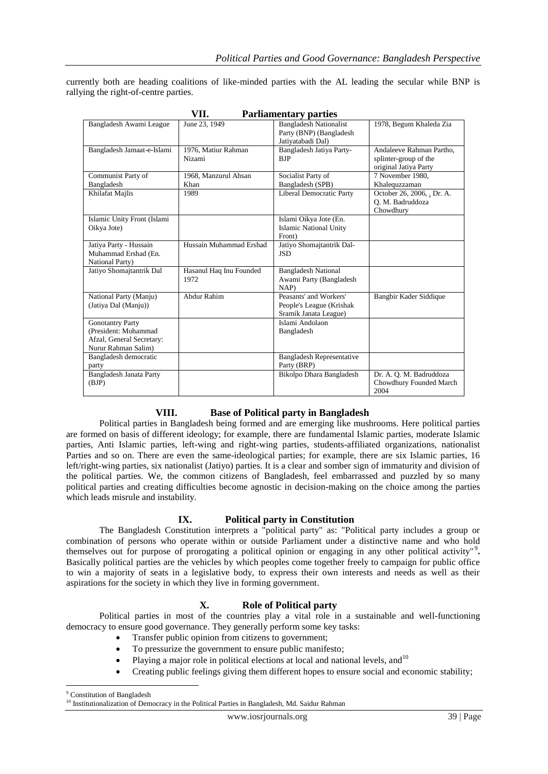currently both are heading coalitions of like-minded parties with the AL leading the secular while BNP is rallying the right-of-centre parties.

| VII.<br><b>Parliamentary parties</b>                                                                |                                 |                                                                               |                                                                            |
|-----------------------------------------------------------------------------------------------------|---------------------------------|-------------------------------------------------------------------------------|----------------------------------------------------------------------------|
| Bangladesh Awami League                                                                             | June 23, 1949                   | <b>Bangladesh Nationalist</b><br>Party (BNP) (Bangladesh<br>Jatiyatabadi Dal) | 1978, Begum Khaleda Zia                                                    |
| Bangladesh Jamaat-e-Islami                                                                          | 1976, Matiur Rahman<br>Nizami   | Bangladesh Jatiya Party-<br><b>BJP</b>                                        | Andaleeve Rahman Partho.<br>splinter-group of the<br>original Jatiya Party |
| Communist Party of<br>Bangladesh                                                                    | 1968, Manzurul Ahsan<br>Khan    | Socialist Party of<br>Bangladesh (SPB)                                        | 7 November 1980.<br>Khalequzzaman                                          |
| Khilafat Majlis                                                                                     | 1989                            | <b>Liberal Democratic Party</b>                                               | October 26, 2006, . Dr. A.<br>Q. M. Badruddoza<br>Chowdhury                |
| Islamic Unity Front (Islami<br>Oikya Jote)                                                          |                                 | Islami Oikya Jote (En.<br><b>Islamic National Unity</b><br>Front)             |                                                                            |
| Jatiya Party - Hussain<br>Muhammad Ershad (En.<br>National Party)                                   | Hussain Muhammad Ershad         | Jatiyo Shomajtantrik Dal-<br><b>JSD</b>                                       |                                                                            |
| Jatiyo Shomajtantrik Dal                                                                            | Hasanul Haq Inu Founded<br>1972 | <b>Bangladesh National</b><br>Awami Party (Bangladesh<br>NAP)                 |                                                                            |
| National Party (Manju)<br>(Jatiya Dal (Manju))                                                      | Abdur Rahim                     | Peasants' and Workers'<br>People's League (Krishak<br>Sramik Janata League)   | Bangbir Kader Siddique                                                     |
| <b>Gonotantry Party</b><br>(President: Mohammad<br>Afzal, General Secretary:<br>Nurur Rahman Salim) |                                 | Islami Andolaon<br>Bangladesh                                                 |                                                                            |
| Bangladesh democratic<br>party                                                                      |                                 | <b>Bangladesh Representative</b><br>Party (BRP)                               |                                                                            |
| Bangladesh Janata Party<br>(BJP)                                                                    |                                 | Bikolpo Dhara Bangladesh                                                      | Dr. A. Q. M. Badruddoza<br>Chowdhury Founded March<br>2004                 |

#### **VIII. Base of Political party in Bangladesh**

Political parties in Bangladesh being formed and are emerging like mushrooms. Here political parties are formed on basis of different ideology; for example, there are fundamental Islamic parties, moderate Islamic parties, Anti Islamic parties, left-wing and right-wing parties, students-affiliated organizations, nationalist Parties and so on. There are even the same-ideological parties; for example, there are six Islamic parties, 16 left/right-wing parties, six nationalist (Jatiyo) parties. It is a clear and somber sign of immaturity and division of the political parties. We, the common citizens of Bangladesh, feel embarrassed and puzzled by so many political parties and creating difficulties become agnostic in decision-making on the choice among the parties which leads misrule and instability.

#### **IX. Political party in Constitution**

The Bangladesh Constitution interprets a "political party" as: "Political party includes a group or combination of persons who operate within or outside Parliament under a distinctive name and who hold themselves out for purpose of prorogating a political opinion or engaging in any other political activity"<sup>9</sup>. Basically political parties are the vehicles by which peoples come together freely to campaign for public office to win a majority of seats in a legislative body, to express their own interests and needs as well as their aspirations for the society in which they live in forming government.

### **X. Role of Political party**

Political parties in most of the countries play a vital role in a sustainable and well-functioning democracy to ensure good governance. They generally perform some key tasks:

- Transfer public opinion from citizens to government;
- To pressurize the government to ensure public manifesto;
- Playing a major role in political elections at local and national levels, and  $10$
- Creating public feelings giving them different hopes to ensure social and economic stability;

1

<sup>9</sup> Constitution of Bangladesh

<sup>&</sup>lt;sup>10</sup> Institutionalization of Democracy in the Political Parties in Bangladesh, Md. Saidur Rahman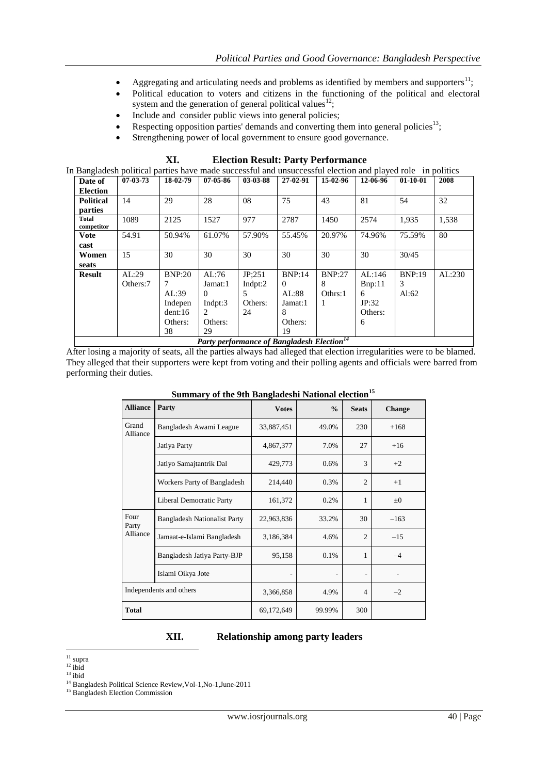- Aggregating and articulating needs and problems as identified by members and supporters $^{11}$ ;
- Political education to voters and citizens in the functioning of the political and electoral system and the generation of general political values<sup>12</sup>;
- Include and consider public views into general policies;
- Respecting opposition parties' demands and converting them into general policies $^{13}$ ;
- Strengthening power of local government to ensure good governance.

| n Bangladesh political parties have made successful and unsuccessful election and played role in politics |                |               |                |          |          |               |          |               |        |
|-----------------------------------------------------------------------------------------------------------|----------------|---------------|----------------|----------|----------|---------------|----------|---------------|--------|
| Date of                                                                                                   | $07 - 03 - 73$ | 18-02-79      | $07 - 05 - 86$ | 03-03-88 | 27-02-91 | 15-02-96      | 12-06-96 | $01-10-01$    | 2008   |
| <b>Election</b>                                                                                           |                |               |                |          |          |               |          |               |        |
| <b>Political</b>                                                                                          | 14             | 29            | 28             | 08       | 75       | 43            | 81       | 54            | 32     |
| parties                                                                                                   |                |               |                |          |          |               |          |               |        |
| Total                                                                                                     | 1089           | 2125          | 1527           | 977      | 2787     | 1450          | 2574     | 1.935         | 1,538  |
| competitor                                                                                                |                |               |                |          |          |               |          |               |        |
| <b>Vote</b>                                                                                               | 54.91          | 50.94%        | 61.07%         | 57.90%   | 55.45%   | 20.97%        | 74.96%   | 75.59%        | 80     |
| cast                                                                                                      |                |               |                |          |          |               |          |               |        |
| Women                                                                                                     | 15             | 30            | 30             | 30       | 30       | 30            | 30       | 30/45         |        |
| seats                                                                                                     |                |               |                |          |          |               |          |               |        |
| <b>Result</b>                                                                                             | AL:29          | <b>BNP:20</b> | AL:76          | JP:251   | BNP:14   | <b>BNP:27</b> | AL:146   | <b>BNP:19</b> | AL:230 |
|                                                                                                           | Others:7       | 7             | Jamat:1        | Indpt:2  | $\Omega$ | 8             | Bnp:11   | 3             |        |
|                                                                                                           |                | AL:39         | 0              | 5.       | AL:88    | Othrs:1       | 6        | Al:62         |        |
|                                                                                                           |                | Indepen       | Indpt: $3$     | Others:  | Jamat:1  |               | JP:32    |               |        |
|                                                                                                           |                | dent:16       | $\mathfrak{D}$ | 24       | 8        |               | Others:  |               |        |
|                                                                                                           |                | Others:       | Others:        |          | Others:  |               | 6        |               |        |
|                                                                                                           |                | 38            | 29             |          | 19       |               |          |               |        |

#### **XI. Election Result: Party Performance**

In Bangladesh political parties have made successful and unsuccessful election and played role in politics

*Party performance of Bangladesh Election<sup>14</sup>*

After losing a majority of seats, all the parties always had alleged that election irregularities were to be blamed. They alleged that their supporters were kept from voting and their polling agents and officials were barred from performing their duties.

| <b>Alliance</b>         | Dunmary or the 7th Bungaucom Pathonal cicetion<br>Party | <b>Votes</b> | $\frac{0}{0}$ | <b>Seats</b>             | Change  |
|-------------------------|---------------------------------------------------------|--------------|---------------|--------------------------|---------|
| Grand<br>Alliance       | Bangladesh Awami League                                 | 33,887,451   | 49.0%         | 230                      | $+168$  |
|                         | Jatiya Party                                            | 4,867,377    | 7.0%          | 27                       | $+16$   |
|                         | Jatiyo Samajtantrik Dal                                 | 429,773      | 0.6%          | 3                        | $+2$    |
|                         | Workers Party of Bangladesh                             | 214,440      | 0.3%          | $\overline{2}$           | $+1$    |
|                         | Liberal Democratic Party                                | 161,372      | 0.2%          | 1                        | $\pm 0$ |
| Four<br>Party           | <b>Bangladesh Nationalist Party</b>                     | 22,963,836   | 33.2%         | 30                       | $-163$  |
| Alliance                | Jamaat-e-Islami Bangladesh                              | 3,186,384    | 4.6%          | $\overline{2}$           | $-15$   |
|                         | Bangladesh Jatiya Party-BJP                             | 95,158       | 0.1%          | 1                        | $-4$    |
|                         | Islami Oikya Jote                                       |              |               | $\overline{\phantom{a}}$ |         |
| Independents and others |                                                         | 3,366,858    | 4.9%          | $\overline{4}$           | $-2$    |
| <b>Total</b>            |                                                         | 69,172,649   | 99.99%        | 300                      |         |

# **Summary of the 9th Bangladeshi National election<sup>15</sup>**

# **XII. Relationship among party leaders**

<sup>&</sup>lt;u>.</u> <sup>11</sup> supra

 $12$  ibid

 $13$  ibid

<sup>14</sup> Bangladesh Political Science Review,Vol-1,No-1,June-2011

<sup>&</sup>lt;sup>15</sup> Bangladesh Election Commission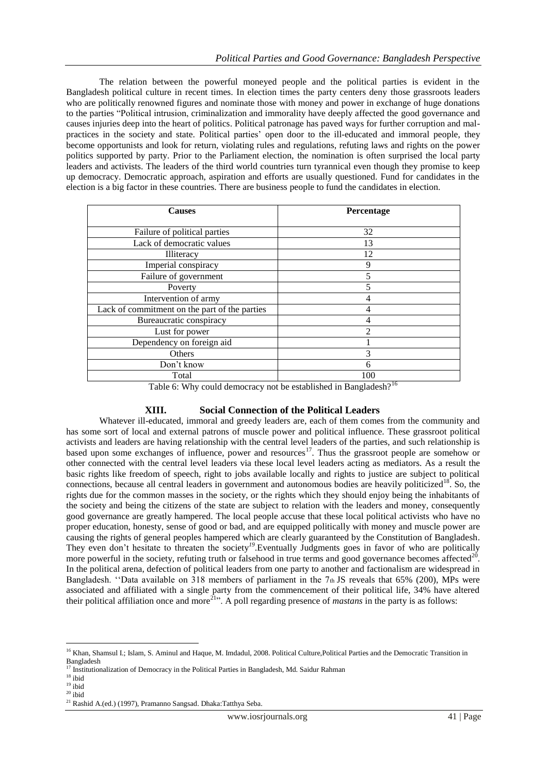The relation between the powerful moneyed people and the political parties is evident in the Bangladesh political culture in recent times. In election times the party centers deny those grassroots leaders who are politically renowned figures and nominate those with money and power in exchange of huge donations to the parties "Political intrusion, criminalization and immorality have deeply affected the good governance and causes injuries deep into the heart of politics. Political patronage has paved ways for further corruption and malpractices in the society and state. Political parties" open door to the ill-educated and immoral people, they become opportunists and look for return, violating rules and regulations, refuting laws and rights on the power politics supported by party. Prior to the Parliament election, the nomination is often surprised the local party leaders and activists. The leaders of the third world countries turn tyrannical even though they promise to keep up democracy. Democratic approach, aspiration and efforts are usually questioned. Fund for candidates in the election is a big factor in these countries. There are business people to fund the candidates in election.

| <b>Causes</b>                                 | Percentage     |
|-----------------------------------------------|----------------|
|                                               |                |
| Failure of political parties                  | 32             |
| Lack of democratic values                     | 13             |
| <b>Illiteracy</b>                             | 12             |
| Imperial conspiracy                           | 9              |
| Failure of government                         | 5              |
| Poverty                                       | 5              |
| Intervention of army                          | 4              |
| Lack of commitment on the part of the parties | 4              |
| Bureaucratic conspiracy                       | 4              |
| Lust for power                                | $\mathfrak{D}$ |
| Dependency on foreign aid                     |                |
| Others                                        | 3              |
| Don't know                                    | 6              |
| Total                                         | 100            |
| -- - -<br>.                                   | .16<br>.       |

Table 6: Why could democracy not be established in Bangladesh?<sup>16</sup>

# **XIII. Social Connection of the Political Leaders**

Whatever ill-educated, immoral and greedy leaders are, each of them comes from the community and has some sort of local and external patrons of muscle power and political influence. These grassroot political activists and leaders are having relationship with the central level leaders of the parties, and such relationship is based upon some exchanges of influence, power and resources<sup>17</sup>. Thus the grassroot people are somehow or other connected with the central level leaders via these local level leaders acting as mediators. As a result the basic rights like freedom of speech, right to jobs available locally and rights to justice are subject to political connections, because all central leaders in government and autonomous bodies are heavily politicized<sup>18</sup>. So, the rights due for the common masses in the society, or the rights which they should enjoy being the inhabitants of the society and being the citizens of the state are subject to relation with the leaders and money, consequently good governance are greatly hampered. The local people accuse that these local political activists who have no proper education, honesty, sense of good or bad, and are equipped politically with money and muscle power are causing the rights of general peoples hampered which are clearly guaranteed by the Constitution of Bangladesh. They even don't hesitate to threaten the society<sup>19</sup>. Eventually Judgments goes in favor of who are politically more powerful in the society, refuting truth or falsehood in true terms and good governance becomes affected<sup>20</sup>. In the political arena, defection of political leaders from one party to another and factionalism are widespread in Bangladesh. "Data available on 318 members of parliament in the 7th JS reveals that 65% (200), MPs were associated and affiliated with a single party from the commencement of their political life, 34% have altered their political affiliation once and more<sup>21</sup>". A poll regarding presence of *mastans* in the party is as follows:

<sup>&</sup>lt;u>.</u> <sup>16</sup> Khan, Shamsul I.; Islam, S. Aminul and Haque, M. Imdadul, 2008. Political Culture,Political Parties and the Democratic Transition in Bangladesh

<sup>&</sup>lt;sup>17</sup> Institutionalization of Democracy in the Political Parties in Bangladesh, Md. Saidur Rahman

 $^{18}$ ibid  $19$  ibid

 $20$  ibid

<sup>21</sup> Rashid A.(ed.) (1997), Pramanno Sangsad. Dhaka:Tatthya Seba.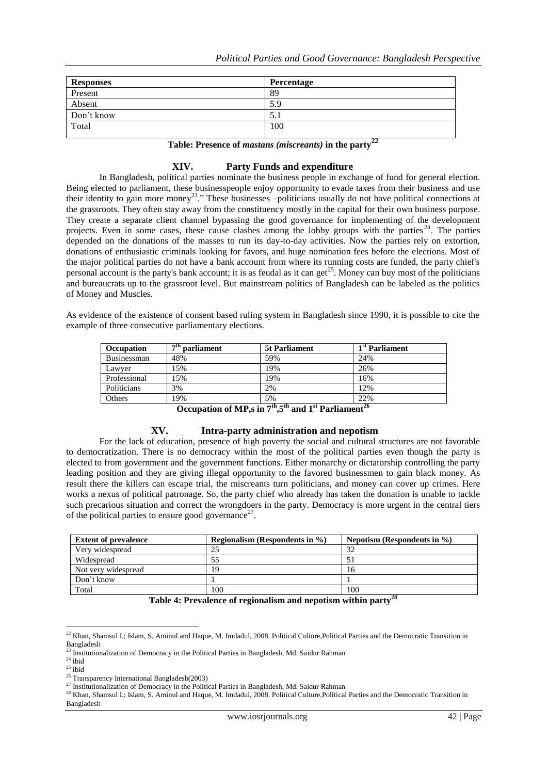| Percentage |
|------------|
| 89         |
| 5.9        |
| D.I        |
| 100        |
|            |

#### **Table: Presence of** *mastans (miscreants)* **in the party<sup>22</sup>**

### **XIV. Party Funds and expenditure**

In Bangladesh, political parties nominate the business people in exchange of fund for general election. Being elected to parliament, these businesspeople enjoy opportunity to evade taxes from their business and use their identity to gain more money<sup>23</sup>." These businesses –politicians usually do not have political connections at the grassroots. They often stay away from the constituency mostly in the capital for their own business purpose. They create a separate client channel bypassing the good governance for implementing of the development projects. Even in some cases, these cause clashes among the lobby groups with the parties<sup>24</sup>. The parties depended on the donations of the masses to run its day-to-day activities. Now the parties rely on extortion, donations of enthusiastic criminals looking for favors, and huge nomination fees before the elections. Most of the major political parties do not have a bank account from where its running costs are funded, the party chief's personal account is the party's bank account; it is as feudal as it can get<sup>25</sup>. Money can buy most of the politicians and bureaucrats up to the grassroot level. But mainstream politics of Bangladesh can be labeled as the politics of Money and Muscles.

As evidence of the existence of consent based ruling system in Bangladesh since 1990, it is possible to cite the example of three consecutive parliamentary elections.

| <b>Occupation</b> | $7th$ parliament | <b>5t Parliament</b>  | 1 <sup>st</sup> Parliament      |
|-------------------|------------------|-----------------------|---------------------------------|
| Businessman       | 48%              | 59%                   | 24%                             |
| Lawyer            | 15%              | 19%                   | 26%                             |
| Professional      | 15%              | 19%                   | 16%                             |
| Politicians       | 3%               | 2%                    | 12%                             |
| Others            | 19%              | 5%<br>$\cdot$ $\cdot$ | 22%<br>$\overline{\phantom{a}}$ |

**Occupation of MP,s in 7th,5th and 1st Parliament<sup>26</sup>**

### **XV. Intra-party administration and nepotism**

For the lack of education, presence of high poverty the social and cultural structures are not favorable to democratization. There is no democracy within the most of the political parties even though the party is elected to from government and the government functions. Either monarchy or dictatorship controlling the party leading position and they are giving illegal opportunity to the favored businessmen to gain black money. As result there the killers can escape trial, the miscreants turn politicians, and money can cover up crimes. Here works a nexus of political patronage. So, the party chief who already has taken the donation is unable to tackle such precarious situation and correct the wrongdoers in the party. Democracy is more urgent in the central tiers of the political parties to ensure good governance<sup>27</sup>.

| <b>Extent of prevalence</b> | Regionalism (Respondents in $\%$ ) | Nepotism (Respondents in $\%$ ) |
|-----------------------------|------------------------------------|---------------------------------|
| Very widespread             | 25                                 | 32                              |
| Widespread                  | 55                                 |                                 |
| Not very widespread         | 19                                 | 16                              |
| Don't know                  |                                    |                                 |
| Total                       | 100                                | 100<br>$\overline{\phantom{a}}$ |

#### **Table 4: Prevalence of regionalism and nepotism within party<sup>28</sup>**

1

<sup>&</sup>lt;sup>22</sup> Khan, Shamsul I.; Islam, S. Aminul and Haque, M. Imdadul, 2008. Political Culture,Political Parties and the Democratic Transition in Bangladesh

<sup>&</sup>lt;sup>23</sup> Institutionalization of Democracy in the Political Parties in Bangladesh, Md. Saidur Rahman

 $24$  ibid

 $^{25}$  ibid

<sup>26</sup> Transparency International Bangladesh(2003)

<sup>&</sup>lt;sup>27</sup> Institutionalization of Democracy in the Political Parties in Bangladesh, Md. Saidur Rahman

<sup>&</sup>lt;sup>28</sup> Khan, Shamsul I.; Islam, S. Aminul and Haque, M. Imdadul, 2008. Political Culture, Political Parties and the Democratic Transition in Bangladesh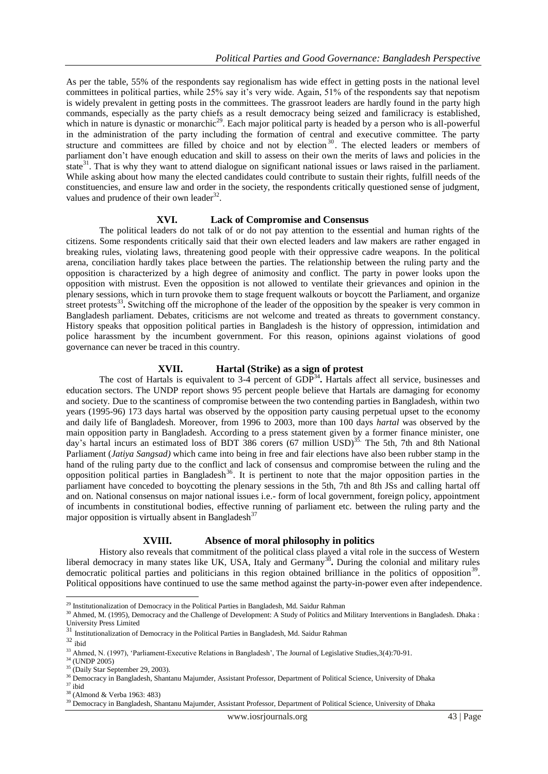As per the table, 55% of the respondents say regionalism has wide effect in getting posts in the national level committees in political parties, while 25% say it"s very wide. Again, 51% of the respondents say that nepotism is widely prevalent in getting posts in the committees. The grassroot leaders are hardly found in the party high commands, especially as the party chiefs as a result democracy being seized and familicracy is established*,*  which in nature is dynastic or monarchic<sup>29</sup>. Each major political party is headed by a person who is all-powerful in the administration of the party including the formation of central and executive committee. The party structure and committees are filled by choice and not by election<sup>30</sup>. The elected leaders or members of parliament don"t have enough education and skill to assess on their own the merits of laws and policies in the state $31$ . That is why they want to attend dialogue on significant national issues or laws raised in the parliament. While asking about how many the elected candidates could contribute to sustain their rights, fulfill needs of the constituencies, and ensure law and order in the society, the respondents critically questioned sense of judgment, values and prudence of their own leader $^{32}$ .

#### **XVI. Lack of Compromise and Consensus**

The political leaders do not talk of or do not pay attention to the essential and human rights of the citizens. Some respondents critically said that their own elected leaders and law makers are rather engaged in breaking rules, violating laws, threatening good people with their oppressive cadre weapons. In the political arena, conciliation hardly takes place between the parties. The relationship between the ruling party and the opposition is characterized by a high degree of animosity and conflict. The party in power looks upon the opposition with mistrust. Even the opposition is not allowed to ventilate their grievances and opinion in the plenary sessions, which in turn provoke them to stage frequent walkouts or boycott the Parliament, and organize street protests<sup>33</sup>. Switching off the microphone of the leader of the opposition by the speaker is very common in Bangladesh parliament. Debates, criticisms are not welcome and treated as threats to government constancy. History speaks that opposition political parties in Bangladesh is the history of oppression, intimidation and police harassment by the incumbent government. For this reason, opinions against violations of good governance can never be traced in this country.

#### **XVII. Hartal (Strike) as a sign of protest**

The cost of Hartals is equivalent to 3-4 percent of GDP<sup>34</sup>. Hartals affect all service, businesses and education sectors. The UNDP report shows 95 percent people believe that Hartals are damaging for economy and society. Due to the scantiness of compromise between the two contending parties in Bangladesh, within two years (1995-96) 173 days hartal was observed by the opposition party causing perpetual upset to the economy and daily life of Bangladesh. Moreover, from 1996 to 2003, more than 100 days *hartal* was observed by the main opposition party in Bangladesh. According to a press statement given by a former finance minister, one day's hartal incurs an estimated loss of BDT 386 corers (67 million USD)<sup>35.</sup> The 5th, 7th and 8th National Parliament (*Jatiya Sangsad)* which came into being in free and fair elections have also been rubber stamp in the hand of the ruling party due to the conflict and lack of consensus and compromise between the ruling and the opposition political parties in Bangladesh<sup>36</sup>. It is pertinent to note that the major opposition parties in the parliament have conceded to boycotting the plenary sessions in the 5th, 7th and 8th JSs and calling hartal off and on. National consensus on major national issues i.e.- form of local government, foreign policy, appointment of incumbents in constitutional bodies, effective running of parliament etc. between the ruling party and the major opposition is virtually absent in Bangladesh $37$ 

#### **XVIII. Absence of moral philosophy in politics**

History also reveals that commitment of the political class played a vital role in the success of Western liberal democracy in many states like UK, USA, Italy and Germany<sup>38</sup>. During the colonial and military rules democratic political parties and politicians in this region obtained brilliance in the politics of opposition<sup>39</sup>. Political oppositions have continued to use the same method against the party-in-power even after independence.

<u>.</u>

<sup>&</sup>lt;sup>29</sup> Institutionalization of Democracy in the Political Parties in Bangladesh, Md. Saidur Rahman

<sup>&</sup>lt;sup>30</sup> Ahmed, M. (1995), Democracy and the Challenge of Development: A Study of Politics and Military Interventions in Bangladesh. Dhaka : University Press Limited<br><sup>31</sup> Institutionalization of Democracy in the Political Parties in Bangladesh, Md. Saidur Rahman

 $32 \text{ ibid}$ 

<sup>&</sup>lt;sup>33</sup> Ahmed, N. (1997), 'Parliament-Executive Relations in Bangladesh', The Journal of Legislative Studies, 3(4):70-91.

 $34$  (UNDP 2005) <sup>35</sup> (Daily Star September 29, 2003).

<sup>&</sup>lt;sup>36</sup> Democracy in Bangladesh, Shantanu Majumder, Assistant Professor, Department of Political Science, University of Dhaka  $37$  ibid

<sup>38</sup> (Almond & Verba 1963: 483)

<sup>&</sup>lt;sup>39</sup> Democracy in Bangladesh, Shantanu Majumder, Assistant Professor, Department of Political Science, University of Dhaka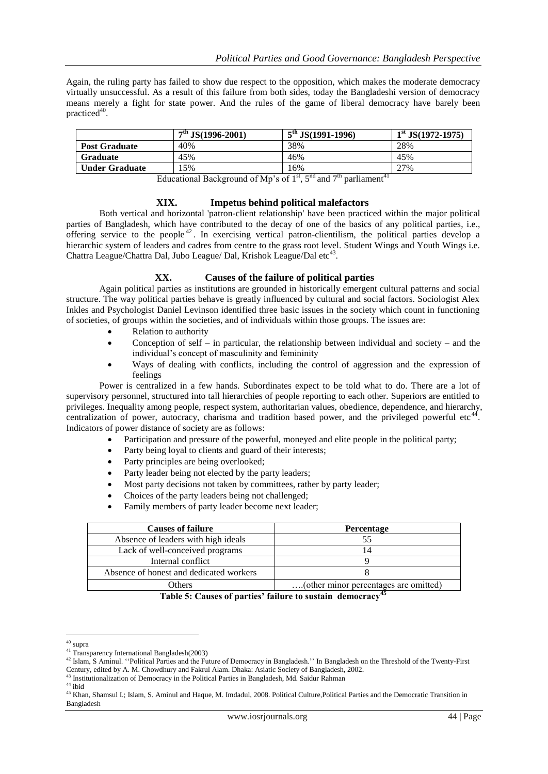Again, the ruling party has failed to show due respect to the opposition, which makes the moderate democracy virtually unsuccessful. As a result of this failure from both sides, today the Bangladeshi version of democracy means merely a fight for state power. And the rules of the game of liberal democracy have barely been practiced<sup>40</sup>.

|                       | $7th$ JS(1996-2001) | $5^{th}$ JS(1991-1996) | $1st$ JS(1972-1975) |
|-----------------------|---------------------|------------------------|---------------------|
| <b>Post Graduate</b>  | 40%                 | 38%                    | 28%                 |
| Graduate              | 45%                 | 46%                    | 45%                 |
| <b>Under Graduate</b> | 5%                  | 16%                    | 27%                 |

Educational Background of Mp's of  $1<sup>st</sup>$ ,  $5<sup>nd</sup>$  and  $7<sup>th</sup>$  parliament<sup>41</sup>

#### **XIX. Impetus behind political malefactors**

Both vertical and horizontal 'patron-client relationship' have been practiced within the major political parties of Bangladesh, which have contributed to the decay of one of the basics of any political parties, i.e., offering service to the people <sup>42</sup> . In exercising vertical patron-clientilism, the political parties develop a hierarchic system of leaders and cadres from centre to the grass root level. Student Wings and Youth Wings i.e. Chattra League/Chattra Dal, Jubo League/ Dal, Krishok League/Dal etc<sup>43</sup>.

#### **XX. Causes of the failure of political parties**

Again political parties as institutions are grounded in historically emergent cultural patterns and social structure. The way political parties behave is greatly influenced by cultural and social factors. Sociologist Alex Inkles and Psychologist Daniel Levinson identified three basic issues in the society which count in functioning of societies, of groups within the societies, and of individuals within those groups. The issues are:

- Relation to authority
- Conception of self in particular, the relationship between individual and society and the individual"s concept of masculinity and femininity
- Ways of dealing with conflicts, including the control of aggression and the expression of feelings

Power is centralized in a few hands. Subordinates expect to be told what to do. There are a lot of supervisory personnel, structured into tall hierarchies of people reporting to each other. Superiors are entitled to privileges. Inequality among people, respect system, authoritarian values, obedience, dependence, and hierarchy, centralization of power, autocracy, charisma and tradition based power, and the privileged powerful etc<sup>44</sup>. Indicators of power distance of society are as follows:

- Participation and pressure of the powerful, moneyed and elite people in the political party;
- Party being loyal to clients and guard of their interests;
- Party principles are being overlooked;
- Party leader being not elected by the party leaders;
- Most party decisions not taken by committees, rather by party leader;
- Choices of the party leaders being not challenged;
- Family members of party leader become next leader;

| <b>Causes of failure</b>                | <b>Percentage</b>                     |
|-----------------------------------------|---------------------------------------|
| Absence of leaders with high ideals     |                                       |
| Lack of well-conceived programs         | 14                                    |
| Internal conflict                       |                                       |
| Absence of honest and dedicated workers |                                       |
| <b>Others</b>                           | (other minor percentages are omitted) |

**Table 5: Causes of parties' failure to sustain democracy<sup>45</sup>**

<sup>43</sup> Institutionalization of Democracy in the Political Parties in Bangladesh, Md. Saidur Rahman

 $44$  ibid

<sup>&</sup>lt;u>.</u> <sup>40</sup> supra

<sup>41</sup> Transparency International Bangladesh(2003)

<sup>&</sup>lt;sup>42</sup> Islam, S Aminul. "Political Parties and the Future of Democracy in Bangladesh." In Bangladesh on the Threshold of the Twenty-First Century, edited by A. M. Chowdhury and Fakrul Alam. Dhaka: Asiatic Society of Bangladesh, 2002.

<sup>&</sup>lt;sup>45</sup> Khan, Shamsul I.; Islam, S. Aminul and Haque, M. Imdadul, 2008. Political Culture, Political Parties and the Democratic Transition in Bangladesh